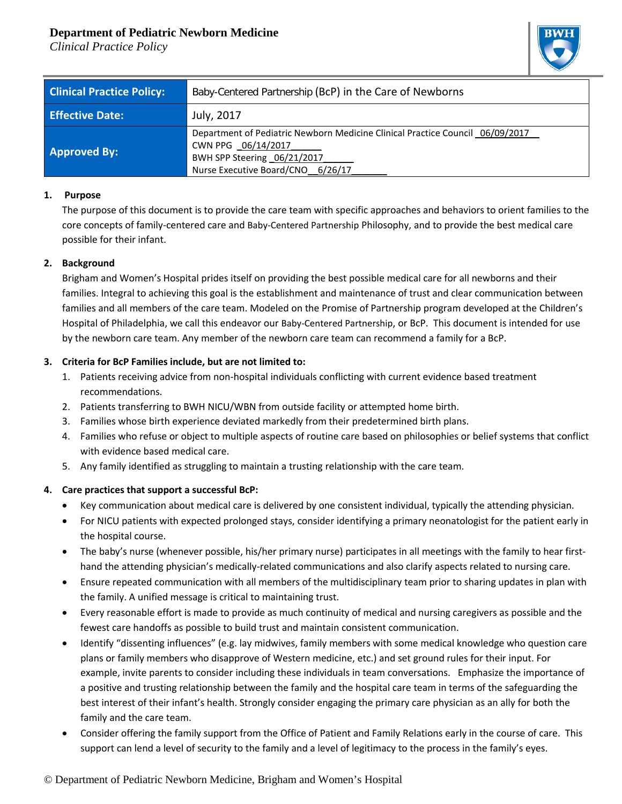# **Department of Pediatric Newborn Medicine**

*Clinical Practice Policy*



| <b>Clinical Practice Policy:</b> | Baby-Centered Partnership (BcP) in the Care of Newborns                                                                                                                 |
|----------------------------------|-------------------------------------------------------------------------------------------------------------------------------------------------------------------------|
| <b>Effective Date:</b>           | July, 2017                                                                                                                                                              |
| <b>Approved By:</b>              | Department of Pediatric Newborn Medicine Clinical Practice Council 06/09/2017<br>CWN PPG 06/14/2017<br>BWH SPP Steering 06/21/2017<br>Nurse Executive Board/CNO 6/26/17 |

### **1. Purpose**

The purpose of this document is to provide the care team with specific approaches and behaviors to orient families to the core concepts of family-centered care and Baby-Centered Partnership Philosophy, and to provide the best medical care possible for their infant.

### **2. Background**

Brigham and Women's Hospital prides itself on providing the best possible medical care for all newborns and their families. Integral to achieving this goal is the establishment and maintenance of trust and clear communication between families and all members of the care team. Modeled on the Promise of Partnership program developed at the Children's Hospital of Philadelphia, we call this endeavor our Baby-Centered Partnership, or BcP. This document is intended for use by the newborn care team. Any member of the newborn care team can recommend a family for a BcP.

## **3. Criteria for BcP Families include, but are not limited to:**

- 1. Patients receiving advice from non-hospital individuals conflicting with current evidence based treatment recommendations.
- 2. Patients transferring to BWH NICU/WBN from outside facility or attempted home birth.
- 3. Families whose birth experience deviated markedly from their predetermined birth plans.
- 4. Families who refuse or object to multiple aspects of routine care based on philosophies or belief systems that conflict with evidence based medical care.
- 5. Any family identified as struggling to maintain a trusting relationship with the care team.

## **4. Care practices that support a successful BcP:**

- Key communication about medical care is delivered by one consistent individual, typically the attending physician.
- For NICU patients with expected prolonged stays, consider identifying a primary neonatologist for the patient early in the hospital course.
- The baby's nurse (whenever possible, his/her primary nurse) participates in all meetings with the family to hear firsthand the attending physician's medically-related communications and also clarify aspects related to nursing care.
- Ensure repeated communication with all members of the multidisciplinary team prior to sharing updates in plan with the family. A unified message is critical to maintaining trust.
- Every reasonable effort is made to provide as much continuity of medical and nursing caregivers as possible and the fewest care handoffs as possible to build trust and maintain consistent communication.
- Identify "dissenting influences" (e.g. lay midwives, family members with some medical knowledge who question care plans or family members who disapprove of Western medicine, etc.) and set ground rules for their input. For example, invite parents to consider including these individuals in team conversations. Emphasize the importance of a positive and trusting relationship between the family and the hospital care team in terms of the safeguarding the best interest of their infant's health. Strongly consider engaging the primary care physician as an ally for both the family and the care team.
- Consider offering the family support from the Office of Patient and Family Relations early in the course of care. This support can lend a level of security to the family and a level of legitimacy to the process in the family's eyes.

## © Department of Pediatric Newborn Medicine, Brigham and Women's Hospital